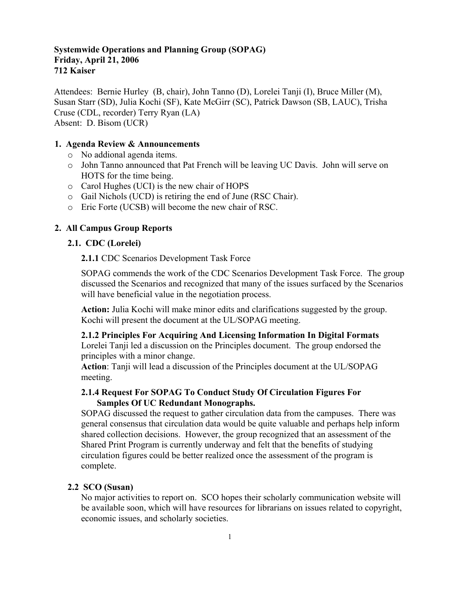# **Systemwide Operations and Planning Group (SOPAG) Friday, April 21, 2006 712 Kaiser**

Attendees: Bernie Hurley (B, chair), John Tanno (D), Lorelei Tanji (I), Bruce Miller (M), Susan Starr (SD), Julia Kochi (SF), Kate McGirr (SC), Patrick Dawson (SB, LAUC), Trisha Cruse (CDL, recorder) Terry Ryan (LA) Absent: D. Bisom (UCR)

# **1. Agenda Review & Announcements**

- o No addional agenda items.
- o John Tanno announced that Pat French will be leaving UC Davis. John will serve on HOTS for the time being.
- o Carol Hughes (UCI) is the new chair of HOPS
- o Gail Nichols (UCD) is retiring the end of June (RSC Chair).
- o Eric Forte (UCSB) will become the new chair of RSC.

# **2. All Campus Group Reports**

## **2.1. CDC (Lorelei)**

**2.1.1** CDC Scenarios Development Task Force

SOPAG commends the work of the CDC Scenarios Development Task Force. The group discussed the Scenarios and recognized that many of the issues surfaced by the Scenarios will have beneficial value in the negotiation process.

**Action:** Julia Kochi will make minor edits and clarifications suggested by the group. Kochi will present the document at the UL/SOPAG meeting.

**2.1.2 Principles For Acquiring And Licensing Information In Digital Formats**

Lorelei Tanji led a discussion on the Principles document. The group endorsed the principles with a minor change.

**Action**: Tanji will lead a discussion of the Principles document at the UL/SOPAG meeting.

# **2.1.4 Request For SOPAG To Conduct Study Of Circulation Figures For Samples Of UC Redundant Monographs.**

SOPAG discussed the request to gather circulation data from the campuses. There was general consensus that circulation data would be quite valuable and perhaps help inform shared collection decisions. However, the group recognized that an assessment of the Shared Print Program is currently underway and felt that the benefits of studying circulation figures could be better realized once the assessment of the program is complete.

## **2.2 SCO (Susan)**

No major activities to report on. SCO hopes their scholarly communication website will be available soon, which will have resources for librarians on issues related to copyright, economic issues, and scholarly societies.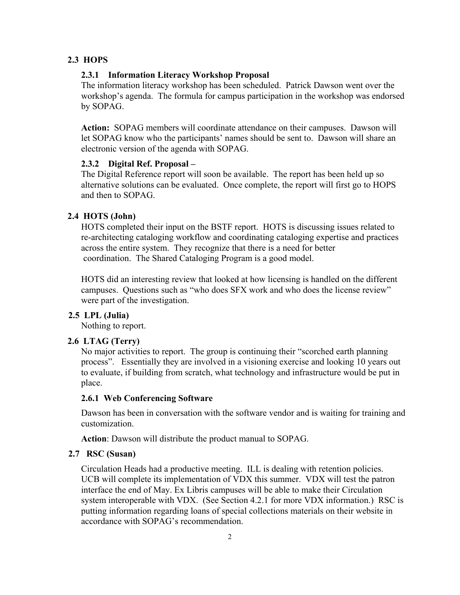## **2.3 HOPS**

## **2.3.1 Information Literacy Workshop Proposal**

The information literacy workshop has been scheduled. Patrick Dawson went over the workshop's agenda. The formula for campus participation in the workshop was endorsed by SOPAG.

**Action:** SOPAG members will coordinate attendance on their campuses. Dawson will let SOPAG know who the participants' names should be sent to. Dawson will share an electronic version of the agenda with SOPAG.

## **2.3.2 Digital Ref. Proposal –**

The Digital Reference report will soon be available. The report has been held up so alternative solutions can be evaluated. Once complete, the report will first go to HOPS and then to SOPAG.

# **2.4 HOTS (John)**

HOTS completed their input on the BSTF report. HOTS is discussing issues related to re-architecting cataloging workflow and coordinating cataloging expertise and practices across the entire system. They recognize that there is a need for better coordination. The Shared Cataloging Program is a good model.

HOTS did an interesting review that looked at how licensing is handled on the different campuses. Questions such as "who does SFX work and who does the license review" were part of the investigation.

# **2.5 LPL (Julia)**

Nothing to report.

# **2.6 LTAG (Terry)**

No major activities to report. The group is continuing their "scorched earth planning process". Essentially they are involved in a visioning exercise and looking 10 years out to evaluate, if building from scratch, what technology and infrastructure would be put in place.

## **2.6.1 Web Conferencing Software**

Dawson has been in conversation with the software vendor and is waiting for training and customization.

**Action**: Dawson will distribute the product manual to SOPAG.

## **2.7 RSC (Susan)**

Circulation Heads had a productive meeting. ILL is dealing with retention policies. UCB will complete its implementation of VDX this summer. VDX will test the patron interface the end of May. Ex Libris campuses will be able to make their Circulation system interoperable with VDX. (See Section 4.2.1 for more VDX information.) RSC is putting information regarding loans of special collections materials on their website in accordance with SOPAG's recommendation.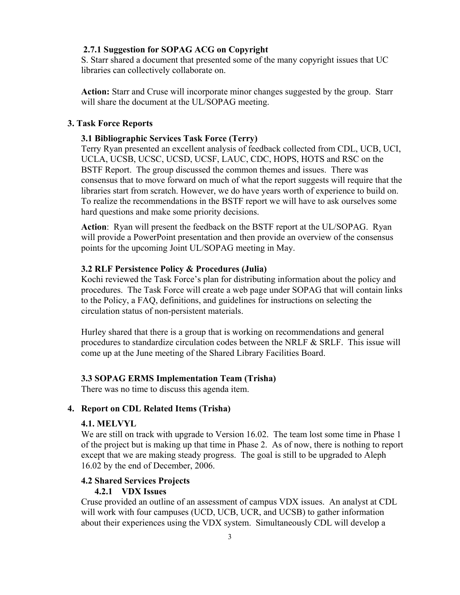## **2.7.1 Suggestion for SOPAG ACG on Copyright**

S. Starr shared a document that presented some of the many copyright issues that UC libraries can collectively collaborate on.

**Action:** Starr and Cruse will incorporate minor changes suggested by the group. Starr will share the document at the UL/SOPAG meeting.

## **3. Task Force Reports**

## **3.1 Bibliographic Services Task Force (Terry)**

Terry Ryan presented an excellent analysis of feedback collected from CDL, UCB, UCI, UCLA, UCSB, UCSC, UCSD, UCSF, LAUC, CDC, HOPS, HOTS and RSC on the BSTF Report. The group discussed the common themes and issues. There was consensus that to move forward on much of what the report suggests will require that the libraries start from scratch. However, we do have years worth of experience to build on. To realize the recommendations in the BSTF report we will have to ask ourselves some hard questions and make some priority decisions.

**Action**: Ryan will present the feedback on the BSTF report at the UL/SOPAG. Ryan will provide a PowerPoint presentation and then provide an overview of the consensus points for the upcoming Joint UL/SOPAG meeting in May.

## **3.2 RLF Persistence Policy & Procedures (Julia)**

Kochi reviewed the Task Force's plan for distributing information about the policy and procedures. The Task Force will create a web page under SOPAG that will contain links to the Policy, a FAQ, definitions, and guidelines for instructions on selecting the circulation status of non-persistent materials.

Hurley shared that there is a group that is working on recommendations and general procedures to standardize circulation codes between the NRLF & SRLF. This issue will come up at the June meeting of the Shared Library Facilities Board.

#### **3.3 SOPAG ERMS Implementation Team (Trisha)**

There was no time to discuss this agenda item.

# **4. Report on CDL Related Items (Trisha)**

# **4.1. MELVYL**

We are still on track with upgrade to Version 16.02. The team lost some time in Phase 1 of the project but is making up that time in Phase 2. As of now, there is nothing to report except that we are making steady progress. The goal is still to be upgraded to Aleph 16.02 by the end of December, 2006.

# **4.2 Shared Services Projects**

# **4.2.1 VDX Issues**

Cruse provided an outline of an assessment of campus VDX issues. An analyst at CDL will work with four campuses (UCD, UCB, UCR, and UCSB) to gather information about their experiences using the VDX system. Simultaneously CDL will develop a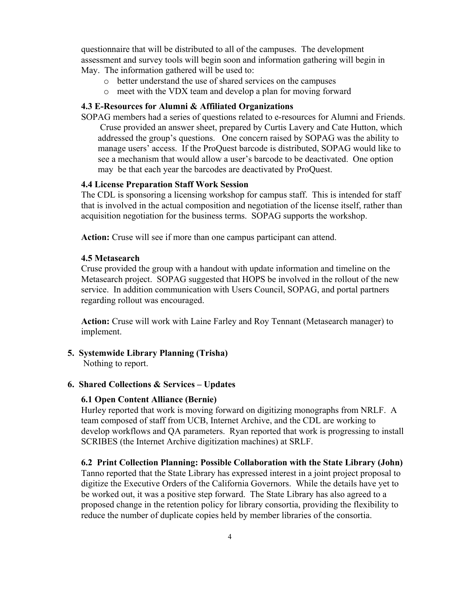questionnaire that will be distributed to all of the campuses. The development assessment and survey tools will begin soon and information gathering will begin in May. The information gathered will be used to:

- o better understand the use of shared services on the campuses
- o meet with the VDX team and develop a plan for moving forward

## **4.3 E-Resources for Alumni & Affiliated Organizations**

SOPAG members had a series of questions related to e-resources for Alumni and Friends. Cruse provided an answer sheet, prepared by Curtis Lavery and Cate Hutton, which addressed the group's questions. One concern raised by SOPAG was the ability to manage users' access. If the ProQuest barcode is distributed, SOPAG would like to see a mechanism that would allow a user's barcode to be deactivated. One option may be that each year the barcodes are deactivated by ProQuest.

## **4.4 License Preparation Staff Work Session**

The CDL is sponsoring a licensing workshop for campus staff. This is intended for staff that is involved in the actual composition and negotiation of the license itself, rather than acquisition negotiation for the business terms. SOPAG supports the workshop.

**Action:** Cruse will see if more than one campus participant can attend.

### **4.5 Metasearch**

Cruse provided the group with a handout with update information and timeline on the Metasearch project. SOPAG suggested that HOPS be involved in the rollout of the new service. In addition communication with Users Council, SOPAG, and portal partners regarding rollout was encouraged.

**Action:** Cruse will work with Laine Farley and Roy Tennant (Metasearch manager) to implement.

## **5. Systemwide Library Planning (Trisha)**

Nothing to report.

#### **6. Shared Collections & Services – Updates**

## **6.1 Open Content Alliance (Bernie)**

Hurley reported that work is moving forward on digitizing monographs from NRLF. A team composed of staff from UCB, Internet Archive, and the CDL are working to develop workflows and QA parameters. Ryan reported that work is progressing to install SCRIBES (the Internet Archive digitization machines) at SRLF.

#### **6.2 Print Collection Planning: Possible Collaboration with the State Library (John)**

Tanno reported that the State Library has expressed interest in a joint project proposal to digitize the Executive Orders of the California Governors. While the details have yet to be worked out, it was a positive step forward. The State Library has also agreed to a proposed change in the retention policy for library consortia, providing the flexibility to reduce the number of duplicate copies held by member libraries of the consortia.